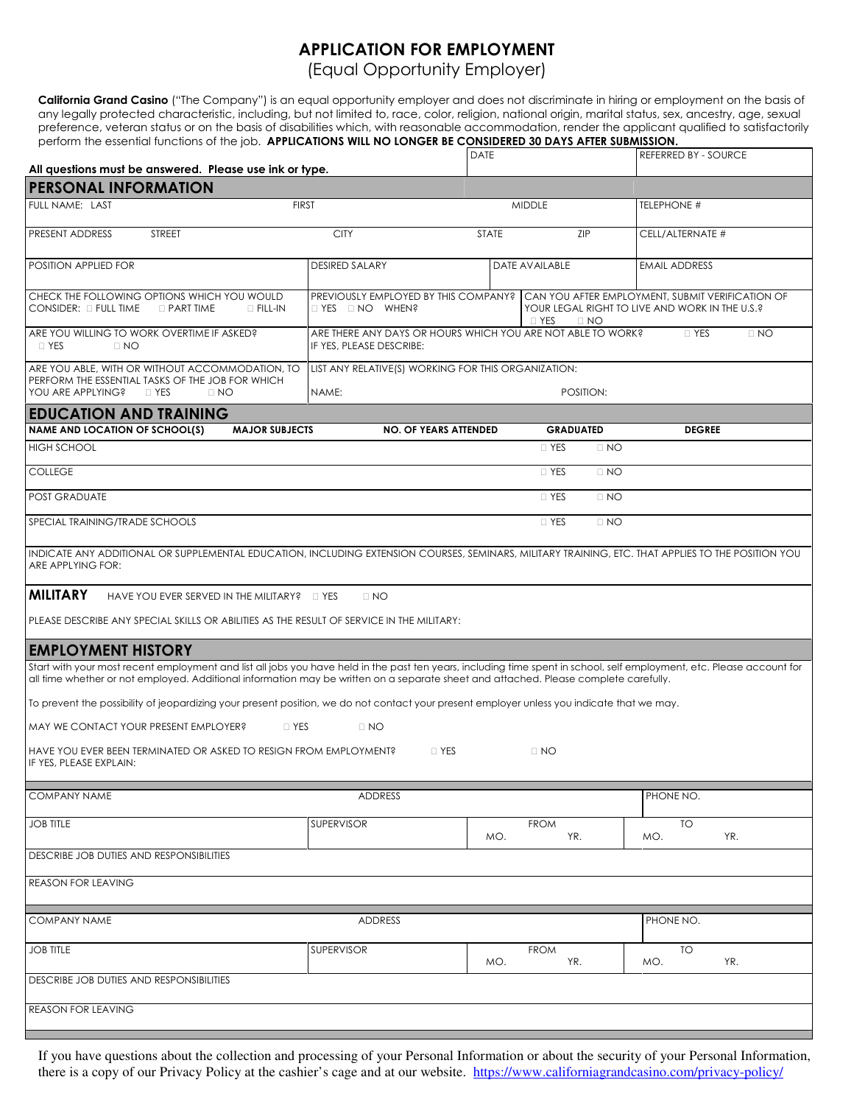## APPLICATION FOR EMPLOYMENT

(Equal Opportunity Employer)

California Grand Casino ("The Company") is an equal opportunity employer and does not discriminate in hiring or employment on the basis of any legally protected characteristic, including, but not limited to, race, color, religion, national origin, marital status, sex, ancestry, age, sexual preference, veteran status or on the basis of disabilities which, with reasonable accommodation, render the applicant qualified to satisfactorily perform the essential functions of the job. APPLICATIONS WILL NO LONGER BE CONSIDERED 30 DAYS AFTER SUBMISSION.

| ponomi mo ossormanionononsi on mo job. Annu<br>All questions must be answered. Please use ink or type.                                                                                                                                                                                                         |                                                                                                          |                              | <b>DATE</b>         |                                                                                                                                                       | REFERRED BY - SOURCE |  |  |  |
|----------------------------------------------------------------------------------------------------------------------------------------------------------------------------------------------------------------------------------------------------------------------------------------------------------------|----------------------------------------------------------------------------------------------------------|------------------------------|---------------------|-------------------------------------------------------------------------------------------------------------------------------------------------------|----------------------|--|--|--|
| <b>PERSONAL INFORMATION</b>                                                                                                                                                                                                                                                                                    |                                                                                                          |                              |                     |                                                                                                                                                       |                      |  |  |  |
| FULL NAME: LAST                                                                                                                                                                                                                                                                                                | <b>FIRST</b>                                                                                             | <b>MIDDLE</b>                |                     | TELEPHONE #                                                                                                                                           |                      |  |  |  |
|                                                                                                                                                                                                                                                                                                                |                                                                                                          |                              |                     |                                                                                                                                                       |                      |  |  |  |
| <b>PRESENT ADDRESS</b><br><b>STREET</b>                                                                                                                                                                                                                                                                        |                                                                                                          | <b>CITY</b>                  | ZIP<br><b>STATE</b> |                                                                                                                                                       | CELL/ALTERNATE #     |  |  |  |
| POSITION APPLIED FOR                                                                                                                                                                                                                                                                                           |                                                                                                          | <b>DESIRED SALARY</b>        |                     | DATE AVAILABLE                                                                                                                                        | <b>EMAIL ADDRESS</b> |  |  |  |
| CHECK THE FOLLOWING OPTIONS WHICH YOU WOULD<br>CONSIDER: ; FULL TIME ; PART TIME<br>$\vdots$ FILL-IN                                                                                                                                                                                                           |                                                                                                          | ; YES ; NO WHEN?             |                     | PREVIOUSLY EMPLOYED BY THIS COMPANY? CAN YOU AFTER EMPLOYMENT, SUBMIT VERIFICATION OF<br>YOUR LEGAL RIGHT TO LIVE AND WORK IN THE U.S.?<br>: YES ; NO |                      |  |  |  |
| ARE YOU WILLING TO WORK OVERTIME IF ASKED?<br>; YES<br>; NO                                                                                                                                                                                                                                                    | ARE THERE ANY DAYS OR HOURS WHICH YOU ARE NOT ABLE TO WORK?<br>: YES<br>; NO<br>IF YES. PLEASE DESCRIBE: |                              |                     |                                                                                                                                                       |                      |  |  |  |
| ARE YOU ABLE, WITH OR WITHOUT ACCOMMODATION, TO<br>PERFORM THE ESSENTIAL TASKS OF THE JOB FOR WHICH                                                                                                                                                                                                            | LIST ANY RELATIVE(S) WORKING FOR THIS ORGANIZATION:                                                      |                              |                     |                                                                                                                                                       |                      |  |  |  |
| YOU ARE APPLYING?<br>; YES<br>: NO                                                                                                                                                                                                                                                                             | NAME:                                                                                                    |                              |                     |                                                                                                                                                       |                      |  |  |  |
| <b>EDUCATION AND TRAINING</b>                                                                                                                                                                                                                                                                                  |                                                                                                          |                              |                     |                                                                                                                                                       |                      |  |  |  |
| <b>NAME AND LOCATION OF SCHOOL(S)</b>                                                                                                                                                                                                                                                                          | <b>MAJOR SUBJECTS</b>                                                                                    | <b>NO. OF YEARS ATTENDED</b> |                     | <b>GRADUATED</b>                                                                                                                                      | <b>DEGREE</b>        |  |  |  |
| <b>HIGH SCHOOL</b>                                                                                                                                                                                                                                                                                             |                                                                                                          |                              |                     | : YES<br>; NO                                                                                                                                         |                      |  |  |  |
| <b>COLLEGE</b>                                                                                                                                                                                                                                                                                                 |                                                                                                          |                              |                     | ; YES<br>; NO                                                                                                                                         |                      |  |  |  |
| POST GRADUATE                                                                                                                                                                                                                                                                                                  |                                                                                                          |                              |                     | ; YES<br>; NO                                                                                                                                         |                      |  |  |  |
| SPECIAL TRAINING/TRADE SCHOOLS                                                                                                                                                                                                                                                                                 |                                                                                                          |                              |                     | ; YES<br>; NO                                                                                                                                         |                      |  |  |  |
| INDICATE ANY ADDITIONAL OR SUPPLEMENTAL EDUCATION, INCLUDING EXTENSION COURSES, SEMINARS, MILITARY TRAINING, ETC. THAT APPLIES TO THE POSITION YOU<br>ARE APPLYING FOR:                                                                                                                                        |                                                                                                          |                              |                     |                                                                                                                                                       |                      |  |  |  |
| <b>MILITARY</b><br>HAVE YOU EVER SERVED IN THE MILITARY? ; YES<br>: NO                                                                                                                                                                                                                                         |                                                                                                          |                              |                     |                                                                                                                                                       |                      |  |  |  |
| PLEASE DESCRIBE ANY SPECIAL SKILLS OR ABILITIES AS THE RESULT OF SERVICE IN THE MILITARY:                                                                                                                                                                                                                      |                                                                                                          |                              |                     |                                                                                                                                                       |                      |  |  |  |
| <b>EMPLOYMENT HISTORY</b>                                                                                                                                                                                                                                                                                      |                                                                                                          |                              |                     |                                                                                                                                                       |                      |  |  |  |
| Start with your most recent employment and list all jobs you have held in the past ten years, including time spent in school, self employment, etc. Please account for<br>all time whether or not employed. Additional information may be written on a separate sheet and attached. Please complete carefully. |                                                                                                          |                              |                     |                                                                                                                                                       |                      |  |  |  |
| To prevent the possibility of jeopardizing your present position, we do not contact your present employer unless you indicate that we may.                                                                                                                                                                     |                                                                                                          |                              |                     |                                                                                                                                                       |                      |  |  |  |
| MAY WE CONTACT YOUR PRESENT EMPLOYER?<br>: YES<br>; NO                                                                                                                                                                                                                                                         |                                                                                                          |                              |                     |                                                                                                                                                       |                      |  |  |  |
| HAVE YOU EVER BEEN TERMINATED OR ASKED TO RESIGN FROM EMPLOYMENT?<br>: YES<br>; NO<br>IF YES, PLEASE EXPLAIN:                                                                                                                                                                                                  |                                                                                                          |                              |                     |                                                                                                                                                       |                      |  |  |  |
| <b>COMPANY NAME</b>                                                                                                                                                                                                                                                                                            |                                                                                                          | ADDRESS                      |                     |                                                                                                                                                       | PHONE NO.            |  |  |  |
| <b>JOB TITLE</b>                                                                                                                                                                                                                                                                                               |                                                                                                          | SUPERVISOR                   | MO.                 | <b>FROM</b><br>YR.                                                                                                                                    | TO<br>MO.<br>YR.     |  |  |  |
| DESCRIBE JOB DUTIES AND RESPONSIBILITIES                                                                                                                                                                                                                                                                       |                                                                                                          |                              |                     |                                                                                                                                                       |                      |  |  |  |
| <b>REASON FOR LEAVING</b>                                                                                                                                                                                                                                                                                      |                                                                                                          |                              |                     |                                                                                                                                                       |                      |  |  |  |
| <b>COMPANY NAME</b>                                                                                                                                                                                                                                                                                            |                                                                                                          | ADDRESS                      |                     |                                                                                                                                                       | PHONE NO.            |  |  |  |
| <b>JOB TITLE</b>                                                                                                                                                                                                                                                                                               |                                                                                                          | <b>SUPERVISOR</b>            | MO.                 | <b>FROM</b><br>YR.                                                                                                                                    | TO<br>MO.<br>YR.     |  |  |  |
| DESCRIBE JOB DUTIES AND RESPONSIBILITIES                                                                                                                                                                                                                                                                       |                                                                                                          |                              |                     |                                                                                                                                                       |                      |  |  |  |
| <b>REASON FOR LEAVING</b>                                                                                                                                                                                                                                                                                      |                                                                                                          |                              |                     |                                                                                                                                                       |                      |  |  |  |
|                                                                                                                                                                                                                                                                                                                |                                                                                                          |                              |                     |                                                                                                                                                       |                      |  |  |  |

If you have questions about the collection and processing of your Personal Information or about the security of your Personal Information, there is a copy of our Privacy Policy at the cashier's cage and at our website. https://www.californiagrandcasino.com/privacy-policy/